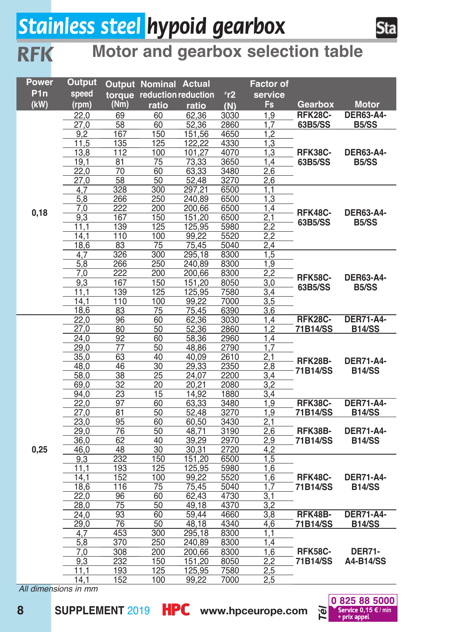## *Stainless steel hypoid gearbox inox*

*RFK*



#### **Motor and gearbox selection table**

| Power            | Output                   |                 | Output Nominal Actual      |                 |                | <b>Factor of</b>        |                            |                                   |
|------------------|--------------------------|-----------------|----------------------------|-----------------|----------------|-------------------------|----------------------------|-----------------------------------|
| P <sub>1</sub> n | speed                    |                 | torque reduction reduction |                 | r <sub>2</sub> | service                 |                            |                                   |
| (kW)             | (rpm)                    | (Nm)            | ratio                      | ratio           | (N)            | Fs.                     | Gearbox                    | <b>Motor</b>                      |
|                  | 22,0                     | 69              | 60                         | 62,36           | 3030           | 1.9                     | <b>RFK28C-</b>             | <b>DER63-A4-</b>                  |
|                  | 27,0                     | 58              | 60                         | 52,36           | 2860           | 1,7                     | 63B5/SS                    | <b>B5/SS</b>                      |
|                  | 9,2                      | 167             | 150                        | 151,56          | 4650           | 1,2                     |                            |                                   |
|                  | 11,5                     | 135             | 125                        | 122.22          | 4330           | 1,3                     |                            |                                   |
|                  | 13,8                     | 112             | 100                        | 101,27          | 4070           | 1,3                     | RFK38C-                    | <b>DER63-A4-</b>                  |
|                  | 19,1                     | 81              | $\overline{75}$            | 73,33           | 3650           | 1,4                     | 63B5/SS                    | B <sub>5</sub> /SS                |
|                  | 22,0                     | 70              | 60                         | 63,33           | 3480           | 2,6                     |                            |                                   |
|                  | 27,0                     | 58              | 50                         | 52,48           | 3270           | 2,6                     |                            |                                   |
|                  | 4.7                      | $\frac{1}{328}$ | 300                        | 297,21          | 6500           | 1,1                     |                            |                                   |
|                  | 5,8                      | 266             | 250                        | 240,89          | 6500           | 1,3                     |                            |                                   |
| 0,18             | 7,0                      | 222             | 200                        | 200,66          | 6500           | $\overline{1,4}$        | <b>RFK48C-</b>             | <b>DER63-A4-</b>                  |
|                  | 9,3                      | 167             | 150                        | 151,20          | 6500           | 2,1                     | 63B5/SS                    | B <sub>5</sub> /SS                |
|                  | 11,1                     | 139             | 125                        | 125,95          | 5980           | 2,2                     |                            |                                   |
|                  | 14,1                     | 110             | 100                        | 99,22           | 5520           | 2,2                     |                            |                                   |
|                  | 18,6                     | 83              | 75                         | 75,45           | 5040           | 2.4                     |                            |                                   |
|                  | 4,7                      | 326             | 300                        | 295,18          | 8300           | 1,5                     |                            |                                   |
|                  | 5.8                      | 266             | 250                        | 240.89          | 8300           | $\overline{1.9}$        |                            |                                   |
|                  | 7,0                      | 222             | 200                        | 200,66          | 8300           | 2,2                     | <b>RFK58C-</b>             | <b>DER63-A4-</b>                  |
|                  | 9,3                      | 167             | 150                        | 151,20          | 8050           | 3,0                     | 63B5/SS                    | B <sub>5</sub> /SS                |
|                  | 11,1                     | 139<br>110      | 125                        | 125,95<br>99.22 | 7580<br>7000   | 3,4                     |                            |                                   |
|                  | 14,1                     |                 | 100<br>75                  |                 |                | 3,5                     |                            |                                   |
|                  | 18,6<br>22.0             | 83<br>96        | 60                         | 75,45<br>62.36  | 6390<br>3030   | 3,6<br>1.4              | <b>RFK28C-</b>             | <b>DER71-A4-</b>                  |
|                  | 27,0                     | 80              | 50                         | 52,36           | 2860           | 1,2                     | 71B14/SS                   | <b>B14/SS</b>                     |
|                  | 24,0                     | 92              | 60                         | 58,36           | 2960           | 1,4                     |                            |                                   |
|                  | 29,0                     | 77              | 50                         | 48,86           | 2790           | 1,7                     | RFK28B-<br>71B14/SS        | <b>DER71-A4-</b><br><b>B14/SS</b> |
|                  | 35,0                     | 63              | 40                         | 40,09           | 2610           | 2,1                     |                            |                                   |
|                  | 48.0                     | 46              | $\overline{30}$            | 29.33           | 2350           | 2.8                     |                            |                                   |
|                  | 58,0                     | 38              | 25                         | 24,07           | 2200           | 3,4                     |                            |                                   |
|                  | 69,0                     | 32              | 20                         | 20.21           | 2080           | 3,2                     |                            |                                   |
|                  | 94,0                     | 23              | 15                         | 14,92           | 1880           | 3,4                     |                            |                                   |
|                  | 22.0                     | 97              | 60                         | 63,33           | 3480           | $\overline{1,9}$        | RFK38C-                    | <b>DER71-A4-</b>                  |
|                  | 27,0                     | 81              | 50                         | 52,48           | 3270           | 1,9                     | 71B14/SS                   | <b>B14/SS</b>                     |
|                  | 23,0                     | 95              | 60                         | 60,50           | 3430           | $\overline{2,1}$        |                            |                                   |
|                  | 29,0                     | 76              | 50                         | 48,71           | 3190           | 2,6                     | RFK38B-                    | <b>DER71-A4-</b>                  |
|                  | 36,0                     | 62              | 40                         | 39,29           | 2970           | 2,9                     | 71B14/SS                   | <b>B14/SS</b>                     |
| 0,25             | 46,0                     | 48              | 30                         | 30,31           | 2720           | 4,2                     |                            |                                   |
|                  | 9,3                      | 232             | 150                        | 151,20          | 6500           | 1,5                     |                            |                                   |
|                  | 11.1                     | 193             | 125                        | 125,95          | 5980           | 1,6                     |                            |                                   |
|                  | 14,1                     | 152             | 100                        | 99,22           | 5520           | 1,6                     | <b>RFK48C-</b>             | <b>DER71-A4-</b>                  |
|                  | 18,6                     | 116             | $\overline{75}$            | 75,45           | 5040           | $\overline{1,7}$        | 71B14/SS                   | <b>B14/SS</b>                     |
|                  | 22,0                     | 96              | 60                         | 62,43           | 4730           | 3,1                     |                            |                                   |
|                  | 28,0                     | $\overline{75}$ | 50                         | 49,18           | 4370           | $\overline{3,2}$        |                            |                                   |
|                  | 24,0                     | 93              | 60                         | 59,44           | 4660           | 3,8                     | RFK48B-                    | <b>DER71-A4-</b>                  |
|                  | 29,0                     | 76              | 50                         | 48,18           | 4340           | 4,6                     | 71B14/SS                   | <b>B14/SS</b>                     |
|                  | 4,7                      | 453             | 300                        | 295,18          | 8300           | 1.1                     |                            |                                   |
|                  | 5,8                      | 370             | 250                        | 240,89          | 8300           | 1,4                     |                            |                                   |
|                  | 7,0                      | 308             | 200                        | 200,66          | 8300           | 1,6                     | <b>RFK58C-</b><br>71B14/SS | <b>DER71-</b>                     |
|                  | 9,3<br>$\overline{11.1}$ | 232             | 150<br>125                 | 151,20          | 8050           | 2,2<br>$\overline{2.5}$ |                            | A4-B14/SS                         |
|                  |                          | 193             |                            | 125,95          | 7580           |                         |                            |                                   |
|                  | 14,1                     | 152             | 100                        | 99,22           | 7000           | 2,5                     |                            |                                   |

*All dimensions in mm*

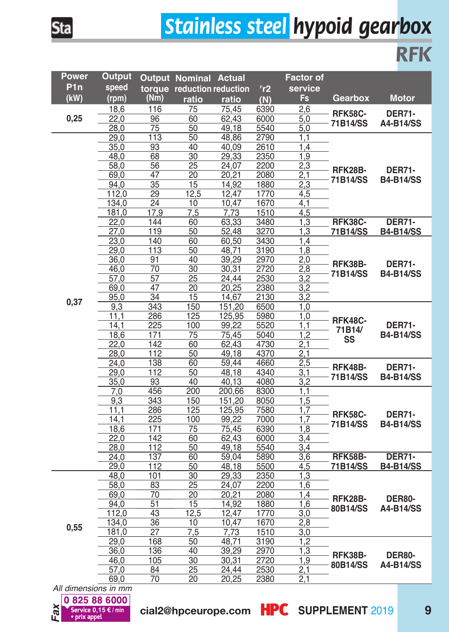# *Stainless steel hypoid gearbox*

| <b>Contract Contract Contract Contract Contract Contract Contract Contract Contract Contract Contract Contract Co</b><br>$\mathcal{L}(\mathcal{L})$<br>. .<br>$\mathcal{L}^{\text{max}}_{\text{max}}$ and $\mathcal{L}^{\text{max}}_{\text{max}}$ and $\mathcal{L}^{\text{max}}_{\text{max}}$ | $\mathcal{L}(\mathcal{L})$<br>_<br>$\mathcal{L}(\mathcal{L})$<br><b>Contract Contract Contract Contract Contract Contract Contract Contract Contract Contract Contract Contract Co</b><br>-<br>and the state of the state of the state of the state of the state of the state of the state of the state of th | -<br>and the state of the state of the state of the state of the state of the state of the state of the state of th | and the state of the state of the state of the state of the state of the state of the state of the state of th |
|-----------------------------------------------------------------------------------------------------------------------------------------------------------------------------------------------------------------------------------------------------------------------------------------------|---------------------------------------------------------------------------------------------------------------------------------------------------------------------------------------------------------------------------------------------------------------------------------------------------------------|---------------------------------------------------------------------------------------------------------------------|----------------------------------------------------------------------------------------------------------------|
|                                                                                                                                                                                                                                                                                               |                                                                                                                                                                                                                                                                                                               |                                                                                                                     |                                                                                                                |

| Power            | Output               |                 | <b>Output Nominal Actual</b> |                |                | <b>Factor of</b> |                            |                                   |
|------------------|----------------------|-----------------|------------------------------|----------------|----------------|------------------|----------------------------|-----------------------------------|
| P <sub>1</sub> n | speed                |                 | torque reduction reduction   |                | r <sub>2</sub> | service          |                            |                                   |
| (kW)             | (rpm)                | (Nm)            | ratio                        | ratio          | (N)            | Fs               | Gearbox                    | <b>Motor</b>                      |
|                  | 18,6                 | 116             | 75                           | 75,45          | 6390           | 2,6              |                            |                                   |
| 0,25             | 22,0                 | 96              | 60                           | 62.43          | 6000           | 5.0              | <b>RFK58C-</b>             | <b>DER71-</b>                     |
|                  | 28,0                 | 75              | 50                           | 49,18          | 5540           | 5,0              | 71B14/SS                   | A4-B14/SS                         |
|                  | 29,0                 | 113             | 50                           | 48,86          | 2790           | 1,1              |                            |                                   |
|                  | 35,0                 | 93              | 40                           | 40.09          | 2610           | 1.4              |                            |                                   |
|                  | 48,0                 | 68              | 30                           | 29,33          | 2350           | 1,9              |                            | <b>DER71-</b><br><b>B4-B14/SS</b> |
|                  | 58.0                 | 56              | 25                           | 24.07          | 2200           | 2,3              | <b>RFK28B-</b>             |                                   |
|                  | 69,0                 | 47              | 20                           | 20.21          | 2080           | 2.1              | 71B14/SS                   |                                   |
|                  | 94,0                 | 35              | 15                           | 14,92          | 1880           | 2,3              |                            |                                   |
|                  | 112,0                | 29              | 12,5                         | 12,47          | 1770           | 4,5              |                            |                                   |
|                  | 134,0                | 24              | 10                           | 10,47          | 1670           | 4.1              |                            |                                   |
|                  | 181,0                | 17,9            | 7,5                          | 7,73           | 1510           | 4,5              |                            |                                   |
|                  | 22,0                 | 144             | 60                           | 63,33          | 3480           | 1,3              | RFK38C-                    | <b>DER71-</b>                     |
|                  | 27,0                 | 119             | 50                           | 52,48          | 3270           | 1,3              | 71B14/SS                   | <b>B4-B14/SS</b>                  |
|                  | 23,0                 | 140             | 60                           | 60,50          | 3430           | 1.4              |                            |                                   |
|                  | 29,0<br>36,0         | 113<br>91       | 50<br>40                     | 48.71<br>39,29 | 3190<br>2970   | 1,8<br>2,0       |                            |                                   |
|                  | 46,0                 | 70              | 30                           | 30.31          | 2720           | 2,8              | RFK38B-                    | <b>DER71-</b>                     |
|                  | 57,0                 | $\overline{57}$ | 25                           | 24.44          | 2530           | 3,2              | 71B14/SS                   | <b>B4-B14/SS</b>                  |
|                  | 69,0                 | 47              | 20                           | 20,25          | 2380           | 3,2              |                            |                                   |
|                  | 95,0                 | 34              | 15                           | 14,67          | 2130           | 3,2              |                            |                                   |
| 0,37             | 9,3                  | 343             | 150                          | 151,20         | 6500           | 1,0              |                            | <b>DER71-</b><br><b>B4-B14/SS</b> |
|                  | 11.1                 | 286             | 125                          | 125,95         | 5980           | 1,0              | RFK48C-<br>71B14/<br>SS    |                                   |
|                  | 14,1                 | 225             | 100                          | 99,22          | 5520           | 1,1              |                            |                                   |
|                  | 18,6                 | 171             | 75                           | 75,45          | 5040           | 1,2              |                            |                                   |
|                  | 22,0                 | 142             | 60                           | 62,43          | 4730           | 2,1              |                            |                                   |
|                  | 28,0                 | 112             | 50                           | 49.18          | 4370           | 2,1              |                            |                                   |
|                  | 24.0                 | 138             | 60                           | 59,44          | 4660           | 2,5              | RFK48B-                    | <b>DER71-</b><br><b>B4-B14/SS</b> |
|                  | 29,0                 | 112             | 50                           | 48,18          | 4340           | 3,1              | 71B14/SS                   |                                   |
|                  | 35,0                 | 93              | 40                           | 40,13          | 4080           | 3,2              |                            |                                   |
|                  | 7.0                  | 456             | 200                          | 200,66         | 8300           | 1.1              |                            |                                   |
|                  | 9,3                  | 343             | 150                          | 151,20         | 8050           | 1,5              |                            |                                   |
|                  | 11,1                 | 286             | 125                          | 125,95         | 7580           | $\overline{1,7}$ | <b>RFK58C-</b>             | <b>DER71-</b>                     |
|                  | 14.1                 | 225             | 100                          | 99.22          | 7000           | 1.7              | 71B14/SS                   | <b>B4-B14/SS</b>                  |
|                  | 18,6                 | 171<br>142      | 75                           | 75,45          | 6390           | 1,8<br>3,4       |                            |                                   |
|                  | 22,0                 | 112             | 60<br>50                     | 62,43<br>49.18 | 6000           | 3,4              |                            |                                   |
|                  | 28,0<br>24.0         | 137             | 60                           | 59.04          | 5540<br>5890   | 3,6              | RFK58B-                    | <b>DER71-</b>                     |
|                  | 29,0                 | 112             | 50                           | 48,18          | 5500           | 4,5              | 71B14/SS                   | <b>B4-B14/SS</b>                  |
|                  | 48,0                 | 101             | 30                           | 29,33          | 2350           | 1,3              |                            |                                   |
|                  | 58,0                 | 83              | 25                           | 24,07          | 2200           | 1,6              |                            |                                   |
|                  | 69,0                 | 70              | $\overline{20}$              | 20,21          | 2080           | 1,4              |                            |                                   |
|                  | 94,0                 | 51              | 15                           | 14,92          | 1880           | 1,6              | RFK28B-<br>80B14/SS        | <b>DER80-</b>                     |
|                  | 112,0                | 43              | 12,5                         | 12,47          | 1770           | $\overline{3,0}$ |                            | A4-B14/SS                         |
|                  | 134,0                | 36              | 10                           | 10.47          | 1670           | 2,8              |                            |                                   |
| 0,55             | 181,0                | 27              | 7,5                          | 7,73           | 1510           | 3.0              |                            |                                   |
|                  | 29,0                 | 168             | 50                           | 48.71          | 3190           | 1,2              |                            |                                   |
|                  | 36,0                 | 136             | 40                           | 39,29          | 2970           | 1,3              | <b>RFK38B-</b><br>80B14/SS | <b>DER80-</b>                     |
| All dimono       | 46.0                 | 105             | 30                           | 30,31          | 2720           | 1,9              |                            | A4-B14/SS                         |
|                  | 57,0                 | 84              | 25                           | 24,44          | 2530           | 2,1              |                            |                                   |
|                  | 69,0<br>$\sum$<br>m. | 70              | 20                           | 20,25          | 2380           | 2,1              |                            |                                   |



**Sta** 

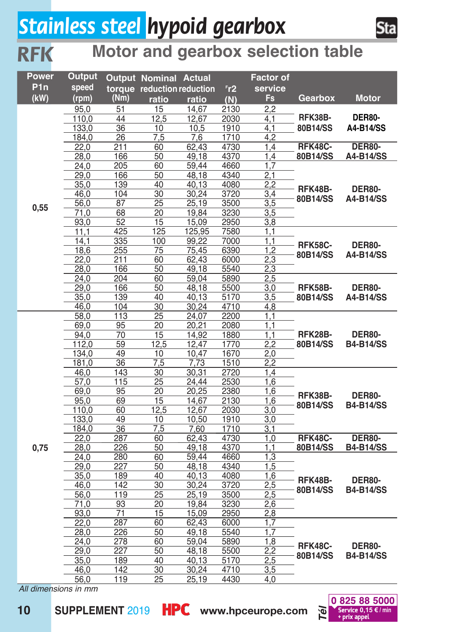## *Stainless steel hypoid gearbox inox*

*RFK*



#### **Motor and gearbox selection table**

| Power            | Output       |                 | <b>Output Nominal Actual</b> |                |              | <b>Factor of</b> |                     |                                   |
|------------------|--------------|-----------------|------------------------------|----------------|--------------|------------------|---------------------|-----------------------------------|
| P <sub>1</sub> n | speed        |                 | torque reduction reduction   |                | Fr2          | service          |                     |                                   |
| (kW)             | (rpm)        | (Nm)            | ratio                        | ratio          | (N)          | Fs               | Gearbox             | <b>Motor</b>                      |
|                  | 95,0         | 51              | 15                           | 14,67          | 2130         | 2,2              |                     |                                   |
|                  | 110,0        | 44              | 12,5                         | 12,67          | 2030         | 4,1              | RFK38B-             | <b>DER80-</b>                     |
|                  | 133,0        | 36              | 10                           | 10,5           | 1910         | 4,1              | 80B14/SS            | A4-B14/SS                         |
|                  | 184,0        | 26              | 7,5                          | 7,6            | 1710         | 4,2              |                     |                                   |
|                  | 22,0         | 211             | 60                           | 62,43          | 4730         | 1,4              | RFK48C-             | <b>DER80-</b>                     |
|                  | 28,0         | 166             | 50                           | 49,18          | 4370         | 1,4              | 80B14/SS            | A4-B14/SS                         |
|                  | 24,0         | 205             | 60                           | 59,44          | 4660         | 1.7              |                     |                                   |
|                  | 29,0         | 166             | 50                           | 48,18          | 4340         | $\overline{2,1}$ |                     |                                   |
|                  | 35,0         | 139             | 40                           | 40,13          | 4080         | 2,2              | RFK48B-             | <b>DER80-</b>                     |
|                  | 46,0         | 104             | 30                           | 30,24          | 3720         | 3,4              | 80B14/SS            | A4-B14/SS                         |
| 0,55             | 56,0         | 87              | $\overline{25}$              | 25,19          | 3500         | $\overline{3,5}$ |                     |                                   |
|                  | 71,0         | 68              | 20                           | 19,84          | 3230         | $\overline{3,5}$ |                     |                                   |
|                  | 93,0         | 52              | 15                           | 15,09          | 2950         | 3,8              |                     |                                   |
|                  | 11.1         | 425             | 125                          | 125,95         | 7580         | 1.1              |                     |                                   |
|                  | 14,1         | 335             | 100                          | 99,22          | 7000         | 1,1              | <b>RFK58C-</b>      | <b>DER80-</b>                     |
|                  | 18,6         | 255             | $\overline{75}$              | 75,45          | 6390         | 1,2              | 80B14/SS            | A4-B14/SS                         |
|                  | 22,0         | 211             | 60                           | 62,43          | 6000         | 2,3              |                     |                                   |
|                  | 28,0         | 166<br>204      | 50<br>60                     | 49.18<br>59,04 | 5540         | 2,3<br>2,5       |                     |                                   |
|                  | 24,0<br>29,0 | 166             | 50                           | 48,18          | 5890<br>5500 | 3,0              | RFK58B-             | <b>DER80-</b>                     |
|                  | 35,0         | 139             | 40                           | 40,13          | 5170         | 3,5              | 80B14/SS            | A4-B14/SS                         |
|                  | 46,0         | 104             | $\overline{30}$              | 30,24          | 4710         | 4,8              |                     |                                   |
|                  | 58,0         | 113             | $\overline{25}$              | 24,07          | 2200         | 1,1              |                     |                                   |
|                  | 69,0         | 95              | 20                           | 20,21          | 2080         | 1,1              | RFK28B-<br>80B14/SS | <b>DER80-</b><br><b>B4-B14/SS</b> |
|                  | 94,0         | 70              | 15                           | 14,92          | 1880         | $\overline{1.1}$ |                     |                                   |
|                  | 112,0        | 59              | 12,5                         | 12,47          | 1770         | 2,2              |                     |                                   |
|                  | 134,0        | 49              | 10                           | 10,47          | 1670         | $\overline{2,0}$ |                     |                                   |
|                  | 181,0        | 36              | 7,5                          | 7,73           | 1510         | 2,2              |                     |                                   |
|                  | 46,0         | 143             | 30                           | 30,31          | 2720         | 1,4              |                     | <b>DER80-</b><br><b>B4-B14/SS</b> |
|                  | 57,0         | 115             | 25                           | 24,44          | 2530         | 1,6              | RFK38B-<br>80B14/SS |                                   |
|                  | 69,0         | 95              | 20                           | 20,25          | 2380         | 1,6              |                     |                                   |
|                  | 95,0         | 69              | 15                           | 14,67          | 2130         | 1,6              |                     |                                   |
|                  | 110,0        | 60              | 12,5                         | 12,67          | 2030         | 3,0              |                     |                                   |
|                  | 133,0        | 49              | $\overline{10}$              | 10,50          | 1910         | 3,0              |                     |                                   |
|                  | 184,0        | 36              | 7,5                          | 7,60           | 1710         | 3,1              |                     |                                   |
|                  | 22.0         | 287             | 60                           | 62,43          | 4730         | 1,0              | RFK48C-             | <b>DER80-</b>                     |
| 0,75             | 28,0         | 226             | 50                           | 49,18          | 4370         | 1,1              | 80B14/SS            | <b>B4-B14/SS</b>                  |
|                  | 24,0         | 280             | 60                           | 59,44          | 4660         | 1,3              |                     |                                   |
|                  | 29,0         | 227             | 50                           | 48,18          | 4340         | $\overline{1,5}$ |                     |                                   |
|                  | 35,0         | 189             | 40<br>$\overline{30}$        | 40,13          | 4080         | 1,6              | RFK48B-             | <b>DER80-</b>                     |
|                  | 46,0<br>56,0 | 142<br>119      | $\overline{25}$              | 30,24<br>25,19 | 3720<br>3500 | 2,5<br>2,5       | 80B14/SS            | <b>B4-B14/SS</b>                  |
|                  | 71,0         | 93              | 20                           | 19,84          | 3230         | 2,6              |                     |                                   |
|                  | 93,0         | $\overline{71}$ | 15                           | 15,09          | 2950         | 2,8              |                     |                                   |
|                  | 22,0         | 287             | 60                           | 62,43          | 6000         | 1.7              |                     |                                   |
|                  | 28,0         | 226             | 50                           | 49,18          | 5540         | 1.7              |                     |                                   |
|                  | 24,0         | 278             | 60                           | 59,04          | 5890         | $\overline{1,8}$ |                     |                                   |
|                  | 29,0         | 227             | 50                           | 48,18          | 5500         | 2,2              | RFK48C-             | <b>DER80-</b>                     |
|                  | 35,0         | 189             | 40                           | 40,13          | 5170         | 2,5              | 80B14/SS            | <b>B4-B14/SS</b>                  |
|                  | 46,0         | 142             | 30                           | 30,24          | 4710         | 3,5              |                     |                                   |
|                  | 56,0         | 119             | 25                           | 25,19          | 4430         | 4,0              |                     |                                   |

*All dimensions in mm*